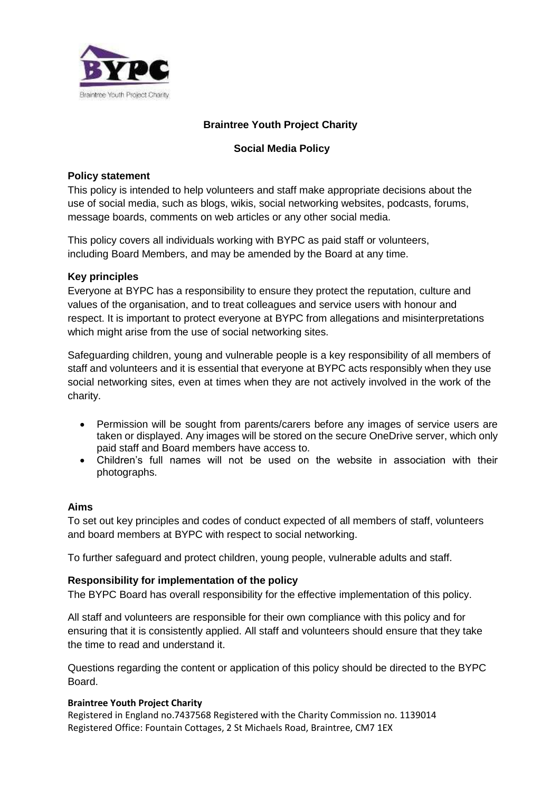

# **Braintree Youth Project Charity**

# **Social Media Policy**

## **Policy statement**

This policy is intended to help volunteers and staff make appropriate decisions about the use of social media, such as blogs, wikis, social networking websites, podcasts, forums, message boards, comments on web articles or any other social media.

This policy covers all individuals working with BYPC as paid staff or volunteers, including Board Members, and may be amended by the Board at any time.

# **Key principles**

Everyone at BYPC has a responsibility to ensure they protect the reputation, culture and values of the organisation, and to treat colleagues and service users with honour and respect. It is important to protect everyone at BYPC from allegations and misinterpretations which might arise from the use of social networking sites.

Safeguarding children, young and vulnerable people is a key responsibility of all members of staff and volunteers and it is essential that everyone at BYPC acts responsibly when they use social networking sites, even at times when they are not actively involved in the work of the charity.

- Permission will be sought from parents/carers before any images of service users are taken or displayed. Any images will be stored on the secure OneDrive server, which only paid staff and Board members have access to.
- Children's full names will not be used on the website in association with their photographs.

## **Aims**

To set out key principles and codes of conduct expected of all members of staff, volunteers and board members at BYPC with respect to social networking.

To further safeguard and protect children, young people, vulnerable adults and staff.

## **Responsibility for implementation of the policy**

The BYPC Board has overall responsibility for the effective implementation of this policy.

All staff and volunteers are responsible for their own compliance with this policy and for ensuring that it is consistently applied. All staff and volunteers should ensure that they take the time to read and understand it.

Questions regarding the content or application of this policy should be directed to the BYPC Board.

## **Braintree Youth Project Charity**

Registered in England no.7437568 Registered with the Charity Commission no. 1139014 Registered Office: Fountain Cottages, 2 St Michaels Road, Braintree, CM7 1EX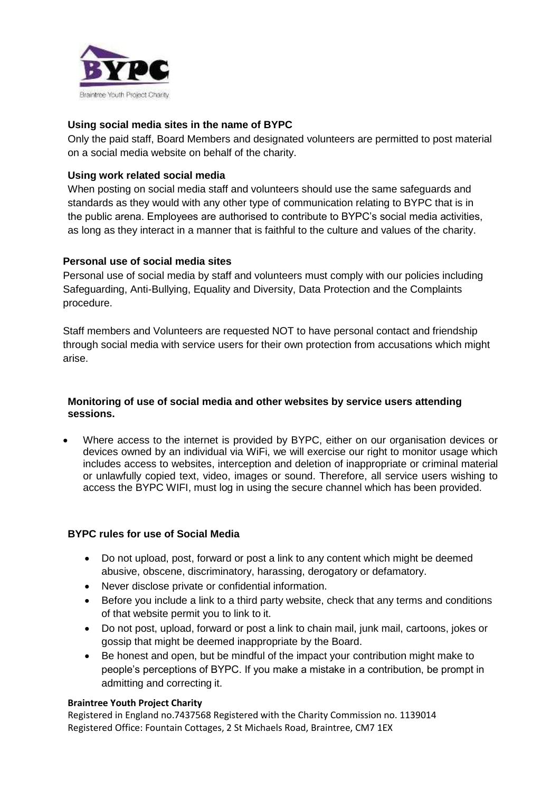

## **Using social media sites in the name of BYPC**

Only the paid staff, Board Members and designated volunteers are permitted to post material on a social media website on behalf of the charity.

## **Using work related social media**

When posting on social media staff and volunteers should use the same safeguards and standards as they would with any other type of communication relating to BYPC that is in the public arena. Employees are authorised to contribute to BYPC's social media activities, as long as they interact in a manner that is faithful to the culture and values of the charity.

## **Personal use of social media sites**

Personal use of social media by staff and volunteers must comply with our policies including Safeguarding, Anti-Bullying, Equality and Diversity, Data Protection and the Complaints procedure.

Staff members and Volunteers are requested NOT to have personal contact and friendship through social media with service users for their own protection from accusations which might arise.

#### **Monitoring of use of social media and other websites by service users attending sessions.**

 Where access to the internet is provided by BYPC, either on our organisation devices or devices owned by an individual via WiFi, we will exercise our right to monitor usage which includes access to websites, interception and deletion of inappropriate or criminal material or unlawfully copied text, video, images or sound. Therefore, all service users wishing to access the BYPC WIFI, must log in using the secure channel which has been provided.

## **BYPC rules for use of Social Media**

- Do not upload, post, forward or post a link to any content which might be deemed abusive, obscene, discriminatory, harassing, derogatory or defamatory.
- Never disclose private or confidential information.
- Before you include a link to a third party website, check that any terms and conditions of that website permit you to link to it.
- Do not post, upload, forward or post a link to chain mail, junk mail, cartoons, jokes or gossip that might be deemed inappropriate by the Board.
- Be honest and open, but be mindful of the impact your contribution might make to people's perceptions of BYPC. If you make a mistake in a contribution, be prompt in admitting and correcting it.

#### **Braintree Youth Project Charity**

Registered in England no.7437568 Registered with the Charity Commission no. 1139014 Registered Office: Fountain Cottages, 2 St Michaels Road, Braintree, CM7 1EX